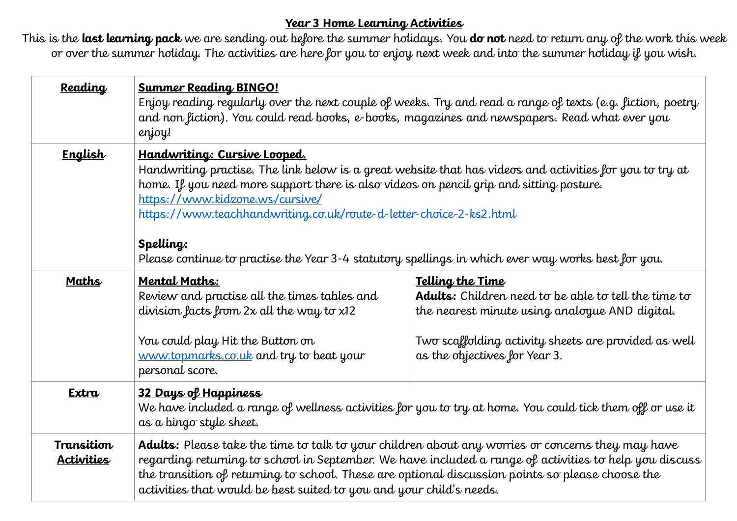## **Year 3 Home Learning Activities**

This is the **last learning pack** we are sending out before the summer holidays. You **do not** need to return any of the work this week or over the summer holiday. The activities are here for you to enjoy next week and into the summer holiday if you wish.

| <b>Reading</b>                  | <b>Summer Reading BINGO!</b><br>Enjoy reading regularly over the next couple of weeks. Try and read a range of texts (e.g. fiction, poetry<br>and non fiction). You could read books, e-books, magazines and newspapers. Read what ever you<br>enjoy!                                                                                                                                                                                                            |                                                                                                                                                                                                                            |  |  |  |
|---------------------------------|------------------------------------------------------------------------------------------------------------------------------------------------------------------------------------------------------------------------------------------------------------------------------------------------------------------------------------------------------------------------------------------------------------------------------------------------------------------|----------------------------------------------------------------------------------------------------------------------------------------------------------------------------------------------------------------------------|--|--|--|
| <b>English</b>                  | Handwriting: Cursive Looped.<br>Handwriting practise. The link below is a great website that has videos and activities for you to try at<br>home. If you need more support there is also videos on pencil grip and sitting posture.<br>https://www.kidzone.ws/cursive/<br>https://www.teachhandwriting.co.uk/route-d-letter-choice-2-ks2.html<br>Spelling:<br>Please continue to practise the Year 3-4 statutory spellings in which ever way works best for you. |                                                                                                                                                                                                                            |  |  |  |
| <b>Maths</b>                    | <b>Mental Maths:</b><br>Review and practise all the times tables and<br>division facts from 2x all the way to x12<br>You could play Hit the Button on<br>www.topmarks.co.uk and try to beat your<br>personal score.                                                                                                                                                                                                                                              | Telling the Time<br><b>Adults:</b> Children need to be able to tell the time to<br>the nearest minute using analogue AND digital.<br>Two scaffolding activity sheets are provided as well<br>as the objectives for Year 3. |  |  |  |
| Extra                           | 32 Days of Happiness<br>We have included a range of wellness activities for you to try at home. You could tick them off or use it<br>as a bingo style sheet.                                                                                                                                                                                                                                                                                                     |                                                                                                                                                                                                                            |  |  |  |
| Transition<br><b>Activities</b> | Adults: Please take the time to talk to your children about any worries or concerns they may have<br>regarding returning to school in September. We have included a range of activities to help you discuss<br>the transition of returning to school. These are optional discussion points so please choose the<br>activities that would be best suited to you and your child's needs.                                                                           |                                                                                                                                                                                                                            |  |  |  |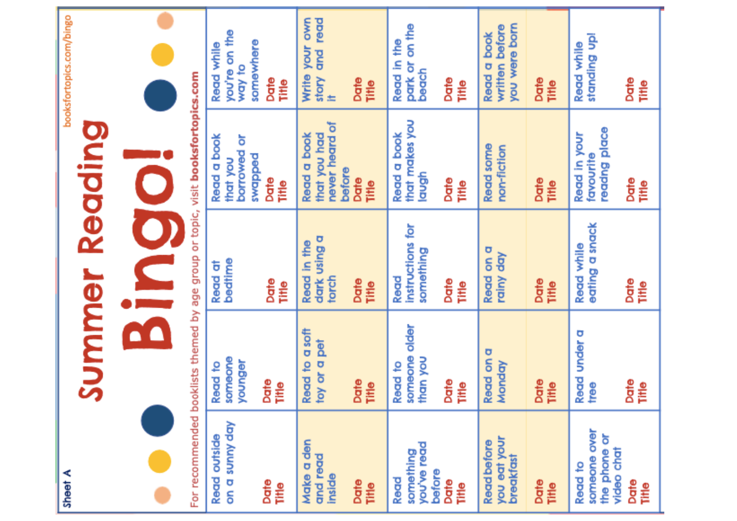| pooksrortopics.com/pingo<br><b>Summer Reading</b> |                                                                                  | you're on the<br>somewhere<br>Read while<br>way to<br>Date<br>Title | Write your own<br>and read<br>story<br>Date<br>Title<br>±                       | park or on the<br>Read in the<br>beach<br>Date<br>Title      | you were born<br>written before<br>Read a book<br>Date<br>Title  | standing up!<br>Read while<br>Date<br>₽                             |
|---------------------------------------------------|----------------------------------------------------------------------------------|---------------------------------------------------------------------|---------------------------------------------------------------------------------|--------------------------------------------------------------|------------------------------------------------------------------|---------------------------------------------------------------------|
|                                                   | Ç                                                                                | Read a book<br>borrowed or<br>peddbws<br>that you<br>Date<br>₽      | never heard of<br>that you had<br>Read a book<br>before<br>Date<br><b>fille</b> | that makes you<br><b>Read a book</b><br>laugh<br>Date<br>ŧ   | <b>Read some</b><br>non-fiction<br>Date<br>Title                 | readng place<br>Read in your<br>favourite<br>Date<br>it∎e           |
|                                                   | Sing                                                                             | bedtime<br>Read at<br>Date<br>Title                                 | dark using a<br>Read in the<br>torch<br>Date<br><b>Filte</b>                    | instructions for<br>something<br>Read<br>Date<br>Title       | Read on a<br>rainy day<br>Date<br>Title                          | eating a snack<br>Read while<br>Date<br>Ē                           |
|                                                   | For recommended booklists themed by age group or topic, visit booksfortopics.com | someone<br>younger<br>Read to<br>Date<br>Title                      | Read to a soft<br>toy or a pet<br>Date<br>Title                                 | someone older<br>than you<br>Read to<br>Date<br><b>filte</b> | Read on a<br>Monday<br>Date<br>Title                             | Read under a<br>tree<br>Date<br>Title                               |
| <b>Alleel</b>                                     |                                                                                  | on a sunny day<br>Read outside<br>Date<br>₽                         | Make a den<br>and read<br><b>inside</b><br>Date<br><b>Title</b>                 | you've read<br>something<br>before<br>Read<br>Date<br>∎∎     | you eat your<br><b>Read before</b><br>breakfast<br>Date<br>Title | someone over<br>the phone or<br>video chat<br>Read to<br>Date<br>∎∎ |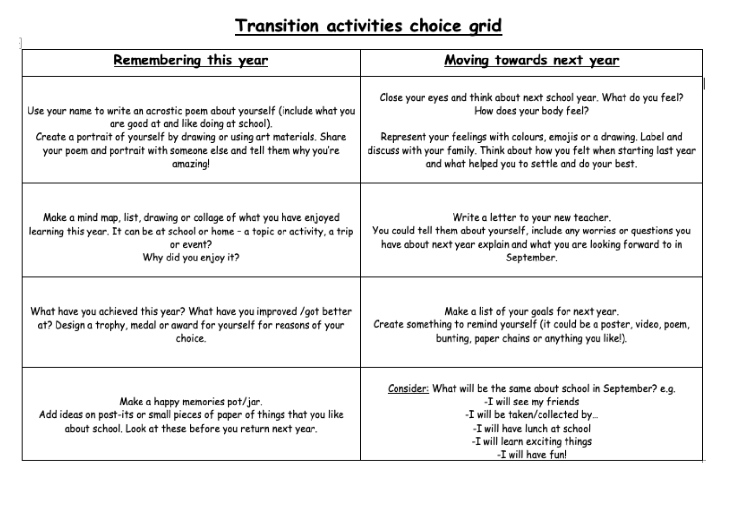## Transition activities choice grid

| Remembering this year                                                                                                                                                | Moving towards next year                                                                                                                                                                                         |  |  |
|----------------------------------------------------------------------------------------------------------------------------------------------------------------------|------------------------------------------------------------------------------------------------------------------------------------------------------------------------------------------------------------------|--|--|
| Use your name to write an acrostic poem about yourself (include what you                                                                                             | Close your eyes and think about next school year. What do you feel?                                                                                                                                              |  |  |
| are good at and like doing at school).                                                                                                                               | How does your body feel?                                                                                                                                                                                         |  |  |
| Create a portrait of yourself by drawing or using art materials. Share                                                                                               | Represent your feelings with colours, emojis or a drawing. Label and                                                                                                                                             |  |  |
| your poem and portrait with someone else and tell them why you're                                                                                                    | discuss with your family. Think about how you felt when starting last year                                                                                                                                       |  |  |
| amazing!                                                                                                                                                             | and what helped you to settle and do your best.                                                                                                                                                                  |  |  |
| Make a mind map, list, drawing or collage of what you have enjoyed                                                                                                   | Write a letter to your new teacher.                                                                                                                                                                              |  |  |
| learning this year. It can be at school or home - a topic or activity, a trip                                                                                        | You could tell them about yourself, include any worries or questions you                                                                                                                                         |  |  |
| or event?                                                                                                                                                            | have about next year explain and what you are looking forward to in                                                                                                                                              |  |  |
| Why did you enjoy it?                                                                                                                                                | September.                                                                                                                                                                                                       |  |  |
| What have you achieved this year? What have you improved /got better                                                                                                 | Make a list of your goals for next year.                                                                                                                                                                         |  |  |
| at? Design a trophy, medal or award for yourself for reasons of your                                                                                                 | Create something to remind yourself (it could be a poster, video, poem,                                                                                                                                          |  |  |
| choice.                                                                                                                                                              | bunting, paper chains or anything you like!).                                                                                                                                                                    |  |  |
| Make a happy memories pot/jar.<br>Add ideas on post-its or small pieces of paper of things that you like<br>about school. Look at these before you return next year. | Consider: What will be the same about school in September? e.g.<br>-I will see my friends<br>-I will be taken/collected by<br>-I will have lunch at school<br>-I will learn exciting things<br>-I will have fun! |  |  |